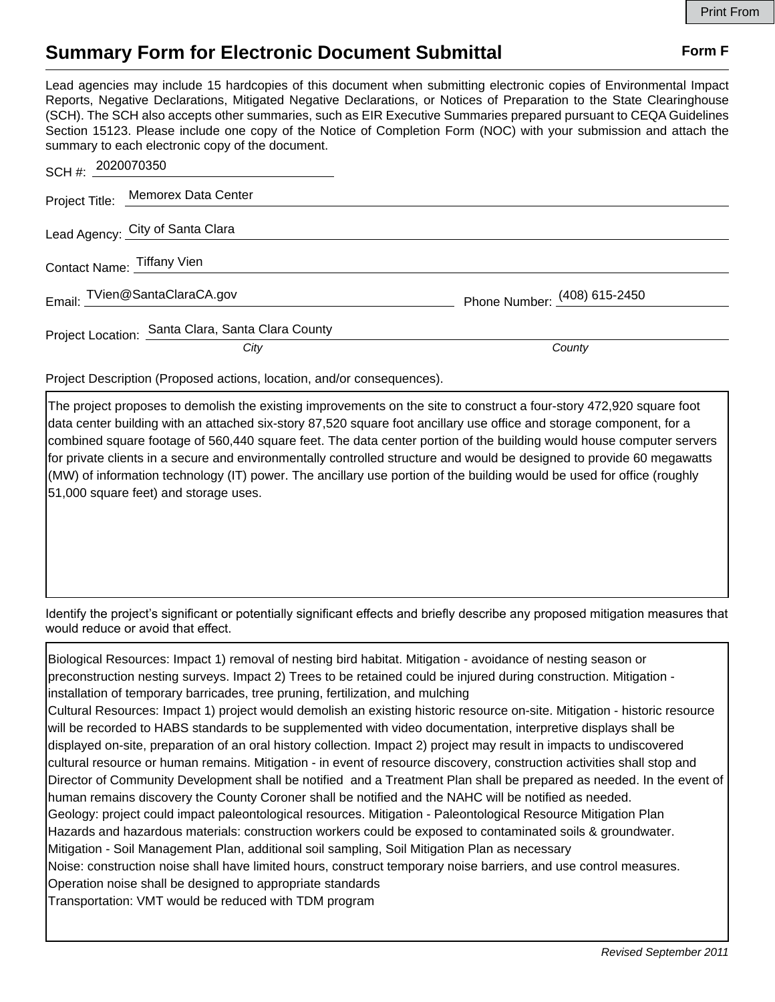## **Summary Form for Electronic Document Submittal Form F Form F**

Lead agencies may include 15 hardcopies of this document when submitting electronic copies of Environmental Impact Reports, Negative Declarations, Mitigated Negative Declarations, or Notices of Preparation to the State Clearinghouse (SCH). The SCH also accepts other summaries, such as EIR Executive Summaries prepared pursuant to CEQA Guidelines Section 15123. Please include one copy of the Notice of Completion Form (NOC) with your submission and attach the summary to each electronic copy of the document.

| SCH #: 2020070350                                 |                              |
|---------------------------------------------------|------------------------------|
| Project Title: Memorex Data Center                |                              |
| Lead Agency: City of Santa Clara                  |                              |
| Contact Name: Tiffany Vien                        |                              |
| Email: TVien@SantaClaraCA.gov                     | Phone Number: (408) 615-2450 |
| Project Location: Santa Clara, Santa Clara County |                              |
| City                                              | County                       |

Project Description (Proposed actions, location, and/or consequences).

The project proposes to demolish the existing improvements on the site to construct a four-story 472,920 square foot data center building with an attached six-story 87,520 square foot ancillary use office and storage component, for a combined square footage of 560,440 square feet. The data center portion of the building would house computer servers for private clients in a secure and environmentally controlled structure and would be designed to provide 60 megawatts (MW) of information technology (IT) power. The ancillary use portion of the building would be used for office (roughly 51,000 square feet) and storage uses.

Identify the project's significant or potentially significant effects and briefly describe any proposed mitigation measures that would reduce or avoid that effect.

Biological Resources: Impact 1) removal of nesting bird habitat. Mitigation - avoidance of nesting season or preconstruction nesting surveys. Impact 2) Trees to be retained could be injured during construction. Mitigation installation of temporary barricades, tree pruning, fertilization, and mulching Cultural Resources: Impact 1) project would demolish an existing historic resource on-site. Mitigation - historic resource will be recorded to HABS standards to be supplemented with video documentation, interpretive displays shall be displayed on-site, preparation of an oral history collection. Impact 2) project may result in impacts to undiscovered cultural resource or human remains. Mitigation - in event of resource discovery, construction activities shall stop and Director of Community Development shall be notified and a Treatment Plan shall be prepared as needed. In the event of human remains discovery the County Coroner shall be notified and the NAHC will be notified as needed. Geology: project could impact paleontological resources. Mitigation - Paleontological Resource Mitigation Plan Hazards and hazardous materials: construction workers could be exposed to contaminated soils & groundwater. Mitigation - Soil Management Plan, additional soil sampling, Soil Mitigation Plan as necessary Noise: construction noise shall have limited hours, construct temporary noise barriers, and use control measures. Operation noise shall be designed to appropriate standards Transportation: VMT would be reduced with TDM program